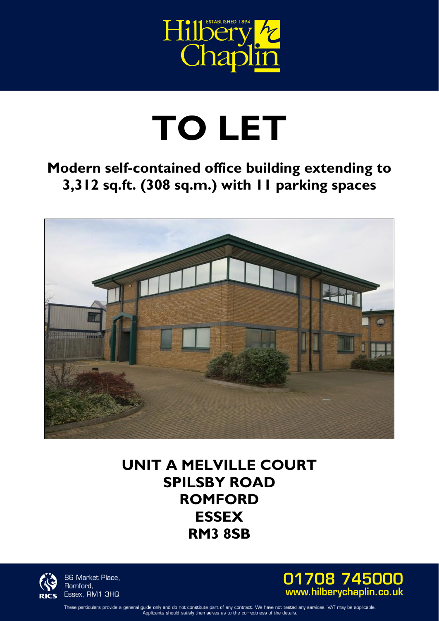

## **TO LET**

## **Modern self-contained office building extending to 3,312 sq.ft. (308 sq.m.) with 11 parking spaces**



**UNIT A MELVILLE COURT SPILSBY ROAD ROMFORD ESSEX RM3 8SB** 



86 Market Place, Romford, Essex, RM1 3HQ



These particulars provide a general guide only and do not constitute part of any contract. We have not tested any services. VAT may be applicable<br>Applicants should satisfy themselves as to the correctness of the details.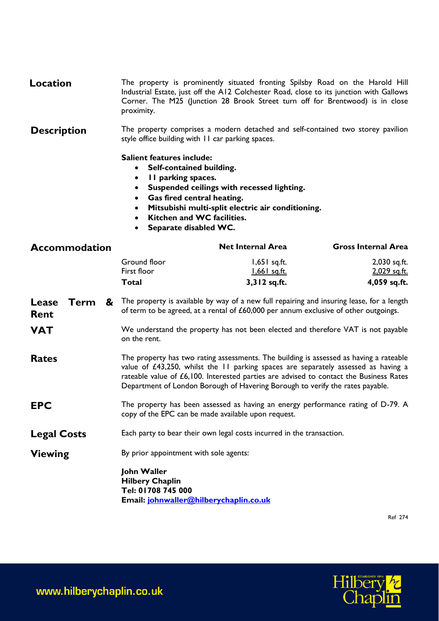The property is prominently situated fronting Spilsby Road on the Harold Hill Corner. The M25 (Junction 28 Brook Street turn off for Brentwood) is in close **Location**  Industrial Estate, just off the A12 Colchester Road, close to its junction with Gallows proximity.

 style office building with 11 car parking spaces. **Description**  The property comprises a modern detached and self-contained two storey pavilion

**Salient features include:** 

- **Self-contained building.**
- **11 parking spaces.**
- **Suspended ceilings with recessed lighting.**
- **Gas fired central heating.**
- **Mitsubishi multi-split electric air conditioning.**
- **Kitchen and WC facilities.**
- **Separate disabled WC.**

| <b>Accommodation</b> |      |                                                                                                                                                                                                                                                                                                                                                            |                                                                                                                                                                                       | <b>Net Internal Area</b>                              | <b>Gross Internal Area</b>                   |
|----------------------|------|------------------------------------------------------------------------------------------------------------------------------------------------------------------------------------------------------------------------------------------------------------------------------------------------------------------------------------------------------------|---------------------------------------------------------------------------------------------------------------------------------------------------------------------------------------|-------------------------------------------------------|----------------------------------------------|
|                      |      |                                                                                                                                                                                                                                                                                                                                                            | Ground floor<br>First floor<br><b>Total</b>                                                                                                                                           | $1,651$ sq.ft.<br><u>1,661 sq.ft.</u><br>3,312 sq.ft. | 2,030 sq.ft.<br>2,029 sq.ft.<br>4,059 sq.ft. |
| Lease<br><b>Rent</b> | Term |                                                                                                                                                                                                                                                                                                                                                            | & The property is available by way of a new full repairing and insuring lease, for a length<br>of term to be agreed, at a rental of $£60,000$ per annum exclusive of other outgoings. |                                                       |                                              |
| <b>VAT</b>           |      | We understand the property has not been elected and therefore VAT is not payable<br>on the rent.                                                                                                                                                                                                                                                           |                                                                                                                                                                                       |                                                       |                                              |
| <b>Rates</b>         |      | The property has two rating assessments. The building is assessed as having a rateable<br>value of $£43,250$ , whilst the II parking spaces are separately assessed as having a<br>rateable value of £6,100. Interested parties are advised to contact the Business Rates<br>Department of London Borough of Havering Borough to verify the rates payable. |                                                                                                                                                                                       |                                                       |                                              |
| <b>EPC</b>           |      | The property has been assessed as having an energy performance rating of D-79. A<br>copy of the EPC can be made available upon request.                                                                                                                                                                                                                    |                                                                                                                                                                                       |                                                       |                                              |
| <b>Legal Costs</b>   |      | Each party to bear their own legal costs incurred in the transaction.                                                                                                                                                                                                                                                                                      |                                                                                                                                                                                       |                                                       |                                              |
| <b>Viewing</b>       |      | By prior appointment with sole agents:                                                                                                                                                                                                                                                                                                                     |                                                                                                                                                                                       |                                                       |                                              |
|                      |      |                                                                                                                                                                                                                                                                                                                                                            | John Waller<br><b>Hilbery Chaplin</b><br>Tel: 01708 745 000                                                                                                                           |                                                       |                                              |

**Tel: 01708 745 000 Email: johnwaller@hilberychaplin.co.uk** 

Ref 274

www.hilberychaplin.co.uk